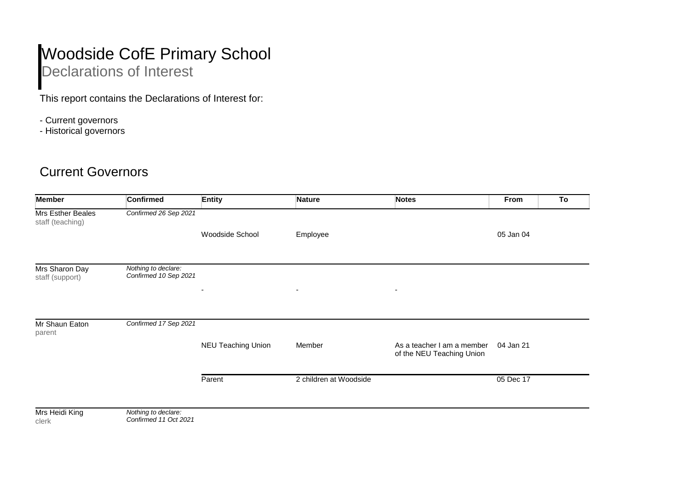## Woodside CofE Primary School Declarations of Interest

This report contains the Declarations of Interest for:

- Current governors
- Historical governors

## Current Governors

| <b>Member</b>                         | <b>Confirmed</b>                             | <b>Entity</b>             | <b>Nature</b>          | <b>Notes</b>                                            | From      | To |
|---------------------------------------|----------------------------------------------|---------------------------|------------------------|---------------------------------------------------------|-----------|----|
| Mrs Esther Beales<br>staff (teaching) | Confirmed 26 Sep 2021                        |                           |                        |                                                         |           |    |
|                                       |                                              | Woodside School           | Employee               |                                                         | 05 Jan 04 |    |
| Mrs Sharon Day<br>staff (support)     | Nothing to declare:<br>Confirmed 10 Sep 2021 |                           |                        |                                                         |           |    |
|                                       |                                              | $\overline{\phantom{a}}$  | $\blacksquare$         |                                                         |           |    |
| Mr Shaun Eaton<br>parent              | Confirmed 17 Sep 2021                        |                           |                        |                                                         |           |    |
|                                       |                                              | <b>NEU Teaching Union</b> | Member                 | As a teacher I am a member<br>of the NEU Teaching Union | 04 Jan 21 |    |
|                                       |                                              | Parent                    | 2 children at Woodside |                                                         | 05 Dec 17 |    |
| Mrs Heidi King<br>clerk               | Nothing to declare:<br>Confirmed 11 Oct 2021 |                           |                        |                                                         |           |    |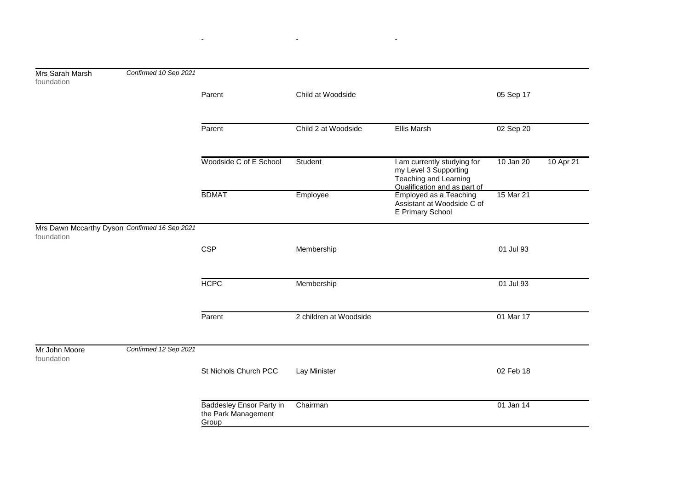| Mrs Sarah Marsh<br>foundation | Confirmed 10 Sep 2021                         |                                                                 |                        |                                                                                                               |           |           |
|-------------------------------|-----------------------------------------------|-----------------------------------------------------------------|------------------------|---------------------------------------------------------------------------------------------------------------|-----------|-----------|
|                               |                                               | Parent                                                          | Child at Woodside      |                                                                                                               | 05 Sep 17 |           |
|                               |                                               | Parent                                                          | Child 2 at Woodside    | <b>Ellis Marsh</b>                                                                                            | 02 Sep 20 |           |
|                               |                                               | Woodside C of E School                                          | Student                | I am currently studying for<br>my Level 3 Supporting<br>Teaching and Learning<br>Qualification and as part of | 10 Jan 20 | 10 Apr 21 |
|                               |                                               | <b>BDMAT</b>                                                    | Employee               | Employed as a Teaching<br>Assistant at Woodside C of<br>E Primary School                                      | 15 Mar 21 |           |
| foundation                    | Mrs Dawn Mccarthy Dyson Confirmed 16 Sep 2021 |                                                                 |                        |                                                                                                               |           |           |
|                               |                                               | <b>CSP</b>                                                      | Membership             |                                                                                                               | 01 Jul 93 |           |
|                               |                                               | <b>HCPC</b>                                                     | Membership             |                                                                                                               | 01 Jul 93 |           |
|                               |                                               | Parent                                                          | 2 children at Woodside |                                                                                                               | 01 Mar 17 |           |
| Mr John Moore<br>foundation   | Confirmed 12 Sep 2021                         |                                                                 |                        |                                                                                                               |           |           |
|                               |                                               | St Nichols Church PCC                                           | Lay Minister           |                                                                                                               | 02 Feb 18 |           |
|                               |                                               | <b>Baddesley Ensor Party in</b><br>the Park Management<br>Group | Chairman               |                                                                                                               | 01 Jan 14 |           |

- - -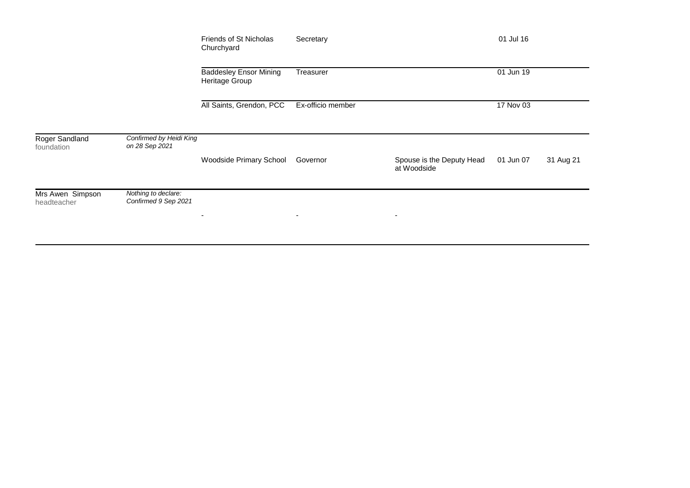|                                 |                                             | Friends of St Nicholas<br>Churchyard            | Secretary                |                                          | 01 Jul 16 |           |
|---------------------------------|---------------------------------------------|-------------------------------------------------|--------------------------|------------------------------------------|-----------|-----------|
|                                 |                                             | <b>Baddesley Ensor Mining</b><br>Heritage Group | Treasurer                |                                          | 01 Jun 19 |           |
|                                 |                                             | All Saints, Grendon, PCC                        | Ex-officio member        |                                          | 17 Nov 03 |           |
| Roger Sandland<br>foundation    | Confirmed by Heidi King<br>on 28 Sep 2021   | Woodside Primary School                         | Governor                 | Spouse is the Deputy Head<br>at Woodside | 01 Jun 07 | 31 Aug 21 |
| Mrs Awen Simpson<br>headteacher | Nothing to declare:<br>Confirmed 9 Sep 2021 | ٠                                               | $\overline{\phantom{a}}$ | $\overline{\phantom{a}}$                 |           |           |